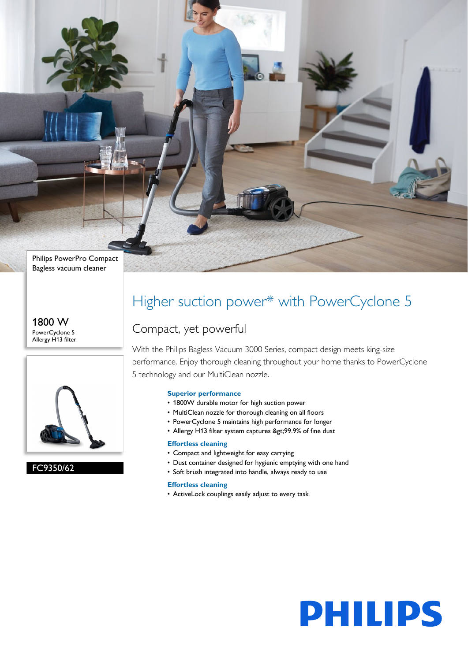

1800 W PowerCyclone 5 Allergy H13 filter



FC9350/62

## Higher suction power\* with PowerCyclone 5

### Compact, yet powerful

With the Philips Bagless Vacuum 3000 Series, compact design meets king-size performance. Enjoy thorough cleaning throughout your home thanks to PowerCyclone 5 technology and our MultiClean nozzle.

#### **Superior performance**

- 1800W durable motor for high suction power
- MultiClean nozzle for thorough cleaning on all floors
- PowerCyclone 5 maintains high performance for longer
- Allergy H13 filter system captures >99.9% of fine dust

#### **Effortless cleaning**

- Compact and lightweight for easy carrying
- Dust container designed for hygienic emptying with one hand
- Soft brush integrated into handle, always ready to use

#### **Effortless cleaning**

• ActiveLock couplings easily adjust to every task

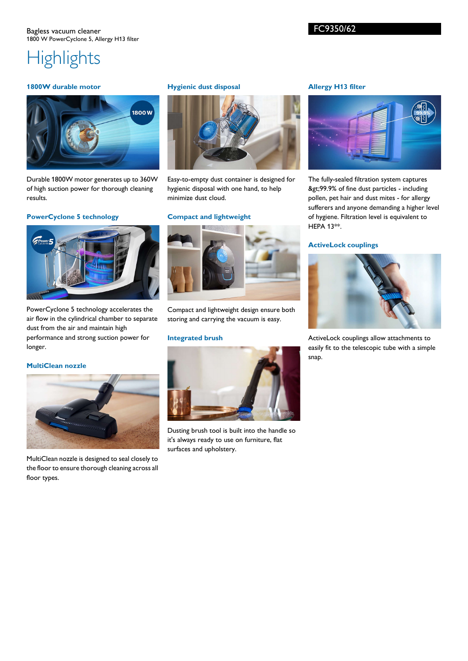#### **1800W durable motor**



Durable 1800W motor generates up to 360W of high suction power for thorough cleaning results.

#### **PowerCyclone 5 technology**



PowerCyclone 5 technology accelerates the air flow in the cylindrical chamber to separate dust from the air and maintain high performance and strong suction power for longer.

#### **MultiClean nozzle**



MultiClean nozzle is designed to seal closely to the floor to ensure thorough cleaning across all floor types.

#### **Hygienic dust disposal**



Easy-to-empty dust container is designed for hygienic disposal with one hand, to help minimize dust cloud.

#### **Compact and lightweight**



Compact and lightweight design ensure both storing and carrying the vacuum is easy.

#### **Integrated brush**



Dusting brush tool is built into the handle so it's always ready to use on furniture, flat surfaces and upholstery.

#### **Allergy H13 filter**



The fully-sealed filtration system captures >99.9% of fine dust particles - including pollen, pet hair and dust mites - for allergy sufferers and anyone demanding a higher level of hygiene. Filtration level is equivalent to HEPA 13\*\*.

#### **ActiveLock couplings**



ActiveLock couplings allow attachments to easily fit to the telescopic tube with a simple snap.

FC9350/62